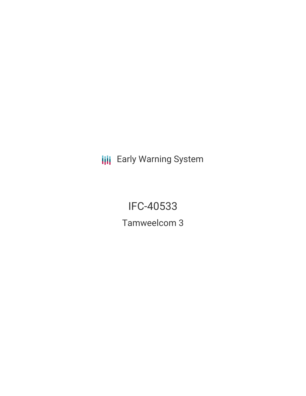**III** Early Warning System

IFC-40533 Tamweelcom 3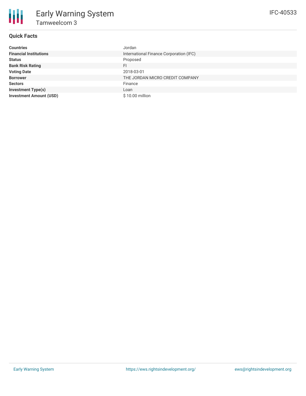## **Quick Facts**

朋

| <b>Countries</b>               | Jordan                                  |
|--------------------------------|-----------------------------------------|
| <b>Financial Institutions</b>  | International Finance Corporation (IFC) |
| <b>Status</b>                  | Proposed                                |
| <b>Bank Risk Rating</b>        | FI                                      |
| <b>Voting Date</b>             | 2018-03-01                              |
| <b>Borrower</b>                | THE JORDAN MICRO CREDIT COMPANY         |
| <b>Sectors</b>                 | Finance                                 |
| <b>Investment Type(s)</b>      | Loan                                    |
| <b>Investment Amount (USD)</b> | \$10.00 million                         |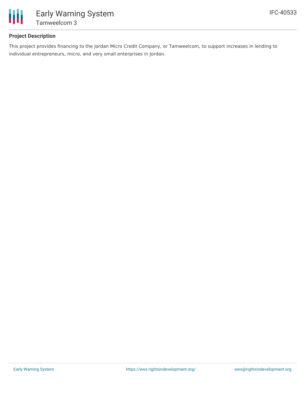

# **Project Description**

This project provides financing to the Jordan Micro Credit Company, or Tamweelcom, to support increases in lending to individual entrepreneurs, micro, and very small enterprises in Jordan.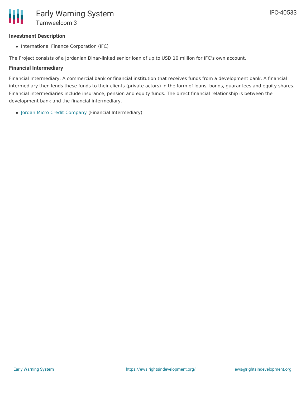### **Investment Description**

• International Finance Corporation (IFC)

The Project consists of a Jordanian Dinar-linked senior loan of up to USD 10 million for IFC's own account.

### **Financial Intermediary**

Financial Intermediary: A commercial bank or financial institution that receives funds from a development bank. A financial intermediary then lends these funds to their clients (private actors) in the form of loans, bonds, guarantees and equity shares. Financial intermediaries include insurance, pension and equity funds. The direct financial relationship is between the development bank and the financial intermediary.

Jordan Micro Credit [Company](file:///actor/306/) (Financial Intermediary)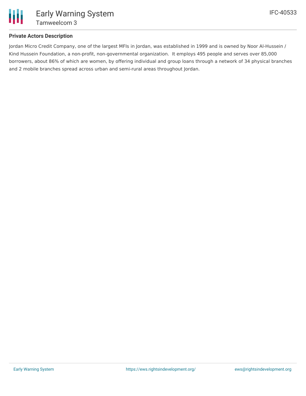

## **Private Actors Description**

Jordan Micro Credit Company, one of the largest MFIs in Jordan, was established in 1999 and is owned by Noor Al-Hussein / Kind Hussein Foundation, a non-profit, non-governmental organization. It employs 495 people and serves over 85,000 borrowers, about 86% of which are women, by offering individual and group loans through a network of 34 physical branches and 2 mobile branches spread across urban and semi-rural areas throughout Jordan.